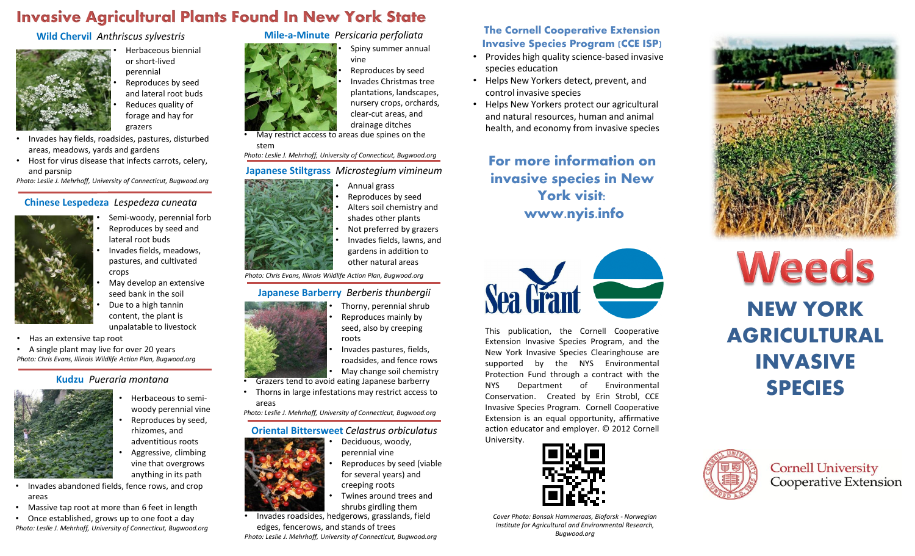# Invasive Agricultural Plants Found In New York State

### **Wild Chervil** *Anthriscus sylvestris*



• Herbaceous biennial or short-lived perennial • Reproduces by seed and lateral root buds • Reduces quality of forage and hay for grazers

- Invades hay fields, roadsides, pastures, disturbed areas, meadows, yards and gardens
- Host for virus disease that infects carrots, celery, and parsnip

*Photo: Leslie J. Mehrhoff, University of Connecticut, Bugwood.org*

#### **Chinese Lespedeza** *Lespedeza cuneata*



- Semi-woody, perennial forb • Reproduces by seed and lateral root buds
	- Invades fields, meadows, pastures, and cultivated crops
- May develop an extensive seed bank in the soil
	- Due to a high tannin content, the plant is unpalatable to livestock
- Has an extensive tap root
- A single plant may live for over 20 years *Photo: Chris Evans, Illinois Wildlife Action Plan, Bugwood.org*

• Massive tap root at more than 6 feet in length • Once established, grows up to one foot a day *Photo: Leslie J. Mehrhoff, University of Connecticut, Bugwood.org*

### **Kudzu** *Pueraria montana*



areas

- Herbaceous to semiwoody perennial vine
- Reproduces by seed, rhizomes, and adventitious roots
- Aggressive, climbing vine that overgrows anything in its path
- 

areas

stem



*Photo: Chris Evans, Illinois Wildlife Action Plan, Bugwood.org*

• May restrict access to areas due spines on the

**Mile-a-Minute** *Persicaria perfoliata*

vine

*Photo: Leslie J. Mehrhoff, University of Connecticut, Bugwood.org* **Japanese Stiltgrass** *Microstegium vimineum*

**Japanese Barberry** *Berberis thunbergii*

• Grazers tend to avoid eating Japanese barberry • Thorns in large infestations may restrict access to

*Photo: Leslie J. Mehrhoff, University of Connecticut, Bugwood.org*

### **Oriental Bittersweet** *Celastrus orbiculatus*

- Deciduous, woody, perennial vine
	- Reproduces by seed (viable for several years) and

• Annual grass • Reproduces by seed • Alters soil chemistry and shades other plants Not preferred by grazers • Invades fields, lawns, and gardens in addition to other natural areas

• Thorny, perennial shrub • Reproduces mainly by seed, also by creeping

• Spiny summer annual

Reproduces by seed • Invades Christmas tree plantations, landscapes, nursery crops, orchards, clear-cut areas, and drainage ditches

• Twines around trees and shrubs girdling them

• Invades roadsides, hedgerows, grasslands, field edges, fencerows, and stands of trees *Photo: Leslie J. Mehrhoff, University of Connecticut, Bugwood.org*

# **The Cornell Cooperative Extension Invasive Species Program (CCE ISP)**

- Provides high quality science-based invasive species education
- Helps New Yorkers detect, prevent, and control invasive species
- Helps New Yorkers protect our agricultural and natural resources, human and animal health, and economy from invasive species

**For more information on invasive species in New York visit: www.nyis.info**



This publication, the Cornell Cooperative Extension Invasive Species Program, and the New York Invasive Species Clearinghouse are supported by the NYS Environmental Protection Fund through a contract with the NYS Department of Environmental Conservation. Created by Erin Strobl, CCE Invasive Species Program. Cornell Cooperative Extension is an equal opportunity, affirmative action educator and employer. © 2012 Cornell University.



*Cover Photo: Bonsak Hammeraas, Bioforsk - Norwegian Institute for Agricultural and Environmental Research, Bugwood.org*



# Weeds NEW YORK AGRICULTURAL INVASIVE SPECIES



**Cornell University<br>Cooperative Extension**